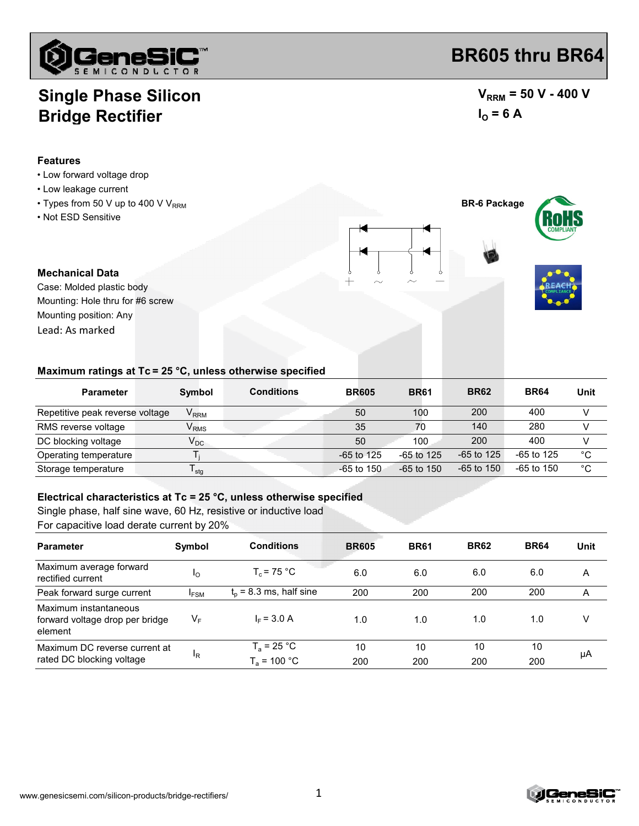

## **Single Phase Silicon Bridge Rectifier**

#### **Features**

- Low forward voltage drop
- Low leakage current
- $\cdot$  Types from 50 V up to 400 V V<sub>RRM</sub>
- Not ESD Sensitive

 $V_{RRM}$  = 50 V - 400 V

**BR605 thru BR64**

$$
I_{\Omega} = 6 \text{ A}
$$

**BR-6 Package**



**Mechanical Data** Case: Molded plastic body Lead: As marked Mounting position: Any Mounting: Hole thru for #6 screw

#### **Maximum ratings at Tc = 25 °C, unless otherwise specified**

| <b>Parameter</b>                | Symbol                  | <b>Conditions</b> | <b>BR605</b> | <b>BR61</b>  | <b>BR62</b>  | <b>BR64</b>  | Unit |
|---------------------------------|-------------------------|-------------------|--------------|--------------|--------------|--------------|------|
| Repetitive peak reverse voltage | <b>V</b> <sub>RRM</sub> |                   | 50           | 100          | 200          | 400          |      |
| RMS reverse voltage             | $V_{RMS}$               |                   | 35           | 70           | 140          | 280          |      |
| DC blocking voltage             | $V_{DC}$                |                   | 50           | 100          | 200          | 400          |      |
| Operating temperature           |                         |                   | $-65$ to 125 | $-65$ to 125 | $-65$ to 125 | -65 to 125   | °C   |
| Storage temperature             | <sup>I</sup> stq        |                   | $-65$ to 150 | $-65$ to 150 | $-65$ to 150 | $-65$ to 150 | °C   |

#### **Electrical characteristics at Tc = 25 °C, unless otherwise specified**

Single phase, half sine wave, 60 Hz, resistive or inductive load

For capacitive load derate current by 20%

| <b>Parameter</b>                                                    | Symbol        | <b>Conditions</b>                      | <b>BR605</b> | <b>BR61</b> | <b>BR62</b> | <b>BR64</b> | Unit |
|---------------------------------------------------------------------|---------------|----------------------------------------|--------------|-------------|-------------|-------------|------|
| Maximum average forward<br>rectified current                        | <sub>10</sub> | $T_c$ = 75 °C                          | 6.0          | 6.0         | 6.0         | 6.0         | A    |
| Peak forward surge current                                          | <b>IFSM</b>   | $t_0$ = 8.3 ms, half sine              | 200          | 200         | 200         | 200         | A    |
| Maximum instantaneous<br>forward voltage drop per bridge<br>element | VF            | $I_F = 3.0 A$                          | 1.0          | 1.0         | 1.0         | 1.0         | v    |
| Maximum DC reverse current at<br>rated DC blocking voltage          | ΙR            | $T_a = 25 °C$<br>$T_{\circ}$ = 100 °C. | 10<br>200    | 10<br>200   | 10<br>200   | 10<br>200   | μA   |

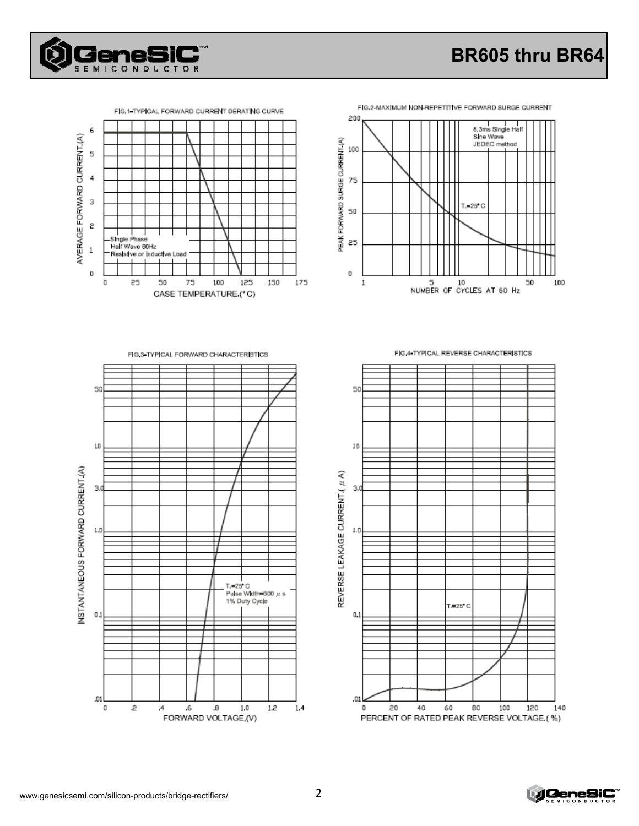



FIG.2-MAXIMUM NON-REPETITIVE FORWARD SURGE CURRENT





FIG.3 TYPICAL FORWARD CHARACTERISTICS



FIG 4 TYPICAL REVERSE CHARACTERISTICS